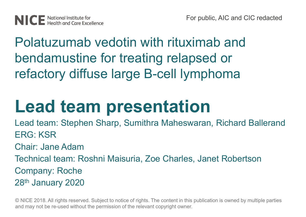Polatuzumab vedotin with rituximab and bendamustine for treating relapsed or refactory diffuse large B-cell lymphoma

# **Lead team presentation**

Lead team: Stephen Sharp, Sumithra Maheswaran, Richard Ballerand ERG: KSR Chair: Jane Adam Technical team: Roshni Maisuria, Zoe Charles, Janet Robertson Company: Roche 28th January 2020

© NICE 2018. All rights reserved. Subject to notice of rights. The content in this publication is owned by multiple parties and may not be re-used without the permission of the relevant copyright owner.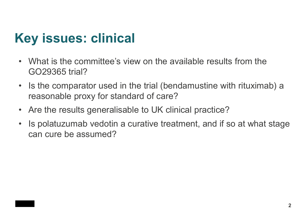## **Key issues: clinical**

- What is the committee's view on the available results from the GO29365 trial?
- Is the comparator used in the trial (bendamustine with rituximab) a reasonable proxy for standard of care?
- Are the results generalisable to UK clinical practice?
- Is polatuzumab vedotin a curative treatment, and if so at what stage can cure be assumed?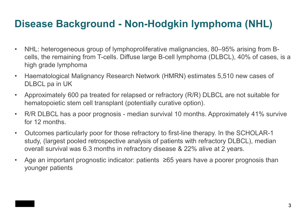### **Disease Background - Non-Hodgkin lymphoma (NHL)**

- NHL: heterogeneous group of lymphoproliferative malignancies, 80–95% arising from Bcells, the remaining from T-cells. Diffuse large B-cell lymphoma (DLBCL), 40% of cases, is a high grade lymphoma
- Haematological Malignancy Research Network (HMRN) estimates 5,510 new cases of DLBCL pa in UK
- Approximately 600 pa treated for relapsed or refractory (R/R) DLBCL are not suitable for hematopoietic stem cell transplant (potentially curative option).
- R/R DLBCL has a poor prognosis median survival 10 months. Approximately 41% survive for 12 months.
- Outcomes particularly poor for those refractory to first-line therapy. In the SCHOLAR-1 study, (largest pooled retrospective analysis of patients with refractory DLBCL), median overall survival was 6.3 months in refractory disease & 22% alive at 2 years.
- Age an important prognostic indicator: patients ≥65 years have a poorer prognosis than younger patients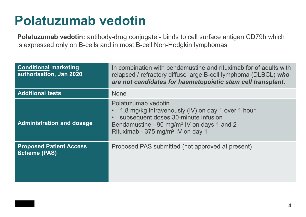### **Polatuzumab vedotin**

**Polatuzumab vedotin:** antibody-drug conjugate - binds to cell surface antigen CD79b which is expressed only on B-cells and in most B-cell Non-Hodgkin lymphomas

| <b>Conditional marketing</b><br>authorisation, Jan 2020 | In combination with bendamustine and rituximab for of adults with<br>relapsed / refractory diffuse large B-cell lymphoma (DLBCL) who<br>are not candidates for haematopoietic stem cell transplant.                        |
|---------------------------------------------------------|----------------------------------------------------------------------------------------------------------------------------------------------------------------------------------------------------------------------------|
| <b>Additional tests</b>                                 | <b>None</b>                                                                                                                                                                                                                |
| <b>Administration and dosage</b>                        | Polatuzumab vedotin<br>1.8 mg/kg intravenously (IV) on day 1 over 1 hour<br>subsequent doses 30-minute infusion<br>Bendamustine - 90 mg/m <sup>2</sup> IV on days 1 and 2<br>Rituximab - 375 mg/m <sup>2</sup> IV on day 1 |
| <b>Proposed Patient Access</b><br><b>Scheme (PAS)</b>   | Proposed PAS submitted (not approved at present)                                                                                                                                                                           |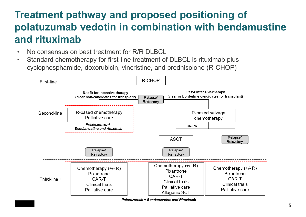### **Treatment pathway and proposed positioning of polatuzumab vedotin in combination with bendamustine and rituximab**

- No consensus on best treatment for R/R DI BCL
- Standard chemotherapy for first-line treatment of DLBCL is rituximab plus cyclophosphamide, doxorubicin, vincristine, and prednisolone (R-CHOP)

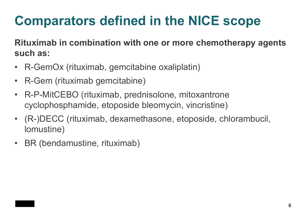# **Comparators defined in the NICE scope**

**Rituximab in combination with one or more chemotherapy agents such as:**

- R-GemOx (rituximab, gemcitabine oxaliplatin)
- R-Gem (rituximab gemcitabine)
- R-P-MitCEBO (rituximab, prednisolone, mitoxantrone cyclophosphamide, etoposide bleomycin, vincristine)
- (R-)DECC (rituximab, dexamethasone, etoposide, chlorambucil, lomustine)
- BR (bendamustine, rituximab)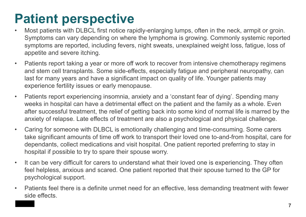# **Patient perspective**

- Most patients with DLBCL first notice rapidly-enlarging lumps, often in the neck, armpit or groin. Symptoms can vary depending on where the lymphoma is growing. Commonly systemic reported symptoms are reported, including fevers, night sweats, unexplained weight loss, fatigue, loss of appetite and severe itching.
- Patients report taking a year or more off work to recover from intensive chemotherapy regimens and stem cell transplants. Some side-effects, especially fatigue and peripheral neuropathy, can last for many years and have a significant impact on quality of life. Younger patients may experience fertility issues or early menopause.
- Patients report experiencing insomnia, anxiety and a 'constant fear of dying'. Spending many weeks in hospital can have a detrimental effect on the patient and the family as a whole. Even after successful treatment, the relief of getting back into some kind of normal life is marred by the anxiety of relapse. Late effects of treatment are also a psychological and physical challenge.
- Caring for someone with DLBCL is emotionally challenging and time-consuming. Some carers take significant amounts of time off work to transport their loved one to-and-from hospital, care for dependants, collect medications and visit hospital. One patient reported preferring to stay in hospital if possible to try to spare their spouse worry.
- It can be very difficult for carers to understand what their loved one is experiencing. They often feel helpless, anxious and scared. One patient reported that their spouse turned to the GP for psychological support.
- Patients feel there is a definite unmet need for an effective, less demanding treatment with fewer side effects.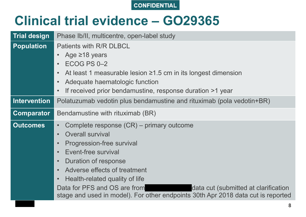

### **Clinical trial evidence – GO29365**

| <b>Trial design</b> | Phase Ib/II, multicentre, open-label study                                                                                                                                                                                                                                                                                                                                                                                                                               |  |  |  |  |
|---------------------|--------------------------------------------------------------------------------------------------------------------------------------------------------------------------------------------------------------------------------------------------------------------------------------------------------------------------------------------------------------------------------------------------------------------------------------------------------------------------|--|--|--|--|
| <b>Population</b>   | Patients with R/R DLBCL<br>Age $\geq$ 18 years<br>$\bullet$<br>ECOG PS 0-2<br>$\bullet$<br>At least 1 measurable lesion $\geq 1.5$ cm in its longest dimension<br>$\bullet$<br>Adequate haematologic function<br>$\bullet$<br>If received prior bendamustine, response duration >1 year<br>$\bullet$                                                                                                                                                                     |  |  |  |  |
| <b>Intervention</b> | Polatuzumab vedotin plus bendamustine and rituximab (pola vedotin+BR)                                                                                                                                                                                                                                                                                                                                                                                                    |  |  |  |  |
| <b>Comparator</b>   | Bendamustine with rituximab (BR)                                                                                                                                                                                                                                                                                                                                                                                                                                         |  |  |  |  |
| <b>Outcomes</b>     | Complete response (CR) – primary outcome<br>$\bullet$<br><b>Overall survival</b><br>$\bullet$<br>Progression-free survival<br>$\bullet$<br>Event-free survival<br>$\bullet$<br>Duration of response<br>$\bullet$<br>Adverse effects of treatment<br>$\bullet$<br>Health-related quality of life<br>$\bullet$<br>Data for PFS and OS are from<br>data cut (submitted at clarification<br>stage and used in model). For other endpoints 30th Apr 2018 data cut is reported |  |  |  |  |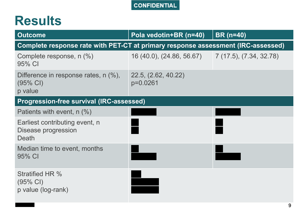### **Results**

| <b>Outcome</b>                                                                   | Pola vedotin+BR (n=40)                            | <b>BR</b> (n=40) |
|----------------------------------------------------------------------------------|---------------------------------------------------|------------------|
| Complete response rate with PET-CT at primary response assessment (IRC-assessed) |                                                   |                  |
| Complete response, n (%)<br>95% CI                                               | 16 (40.0), (24.86, 56.67) 7 (17.5), (7.34, 32.78) |                  |
| Difference in response rates, $n$ $(\%)$ ,<br>$(95% \text{ Cl})$<br>p value      | 22.5, (2.62, 40.22)<br>$p=0.0261$                 |                  |
| <b>Progression-free survival (IRC-assessed)</b>                                  |                                                   |                  |
| Patients with event, $n$ $(\%)$                                                  |                                                   |                  |
| Earliest contributing event, n<br>Disease progression<br>Death                   |                                                   |                  |
| Median time to event, months<br>95% CI                                           |                                                   |                  |
| <b>Stratified HR %</b><br>$(95\% \text{ Cl})$<br>p value (log-rank)              |                                                   |                  |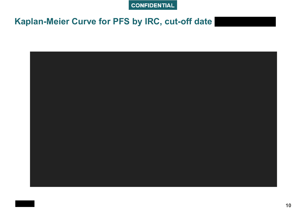### Kaplan-Meier Curve for PFS by IRC, cut-off date

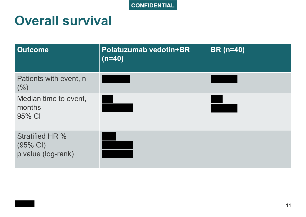### **Overall survival**

| <b>Outcome</b>                                                     | Polatuzumab vedotin+BR<br>$(n=40)$ | <b>BR</b> (n=40) |
|--------------------------------------------------------------------|------------------------------------|------------------|
| Patients with event, n<br>(% )                                     |                                    |                  |
| Median time to event,<br>months<br>95% CI                          |                                    |                  |
| <b>Stratified HR %</b><br>$(95% \text{ Cl})$<br>p value (log-rank) |                                    |                  |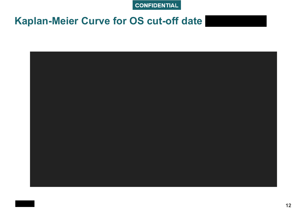### Kaplan-Meier Curve for OS cut-off date

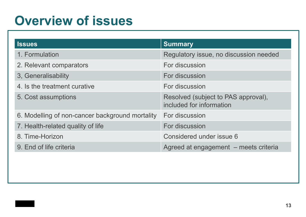### **Overview of issues**

| <b>Issues</b>                                   | <b>Summary</b>                                                  |
|-------------------------------------------------|-----------------------------------------------------------------|
| 1. Formulation                                  | Regulatory issue, no discussion needed                          |
| 2. Relevant comparators                         | For discussion                                                  |
| 3, Generalisability                             | For discussion                                                  |
| 4. Is the treatment curative                    | For discussion                                                  |
| 5. Cost assumptions                             | Resolved (subject to PAS approval),<br>included for information |
| 6. Modelling of non-cancer background mortality | For discussion                                                  |
| 7. Health-related quality of life               | For discussion                                                  |
| 8. Time-Horizon                                 | Considered under issue 6                                        |
| 9. End of life criteria                         | Agreed at engagement - meets criteria                           |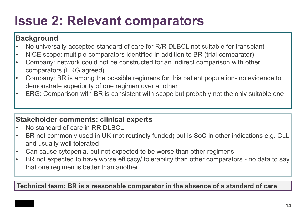# **Issue 2: Relevant comparators**

#### **Background**

- No universally accepted standard of care for R/R DLBCL not suitable for transplant
- NICE scope: multiple comparators identified in addition to BR (trial comparator)
- Company: network could not be constructed for an indirect comparison with other comparators (ERG agreed)
- Company: BR is among the possible regimens for this patient population- no evidence to demonstrate superiority of one regimen over another
- ERG: Comparison with BR is consistent with scope but probably not the only suitable one

#### **Stakeholder comments: clinical experts**

- No standard of care in RR DI RCL
- BR not commonly used in UK (not routinely funded) but is SoC in other indications e.g. CLL and usually well tolerated
- Can cause cytopenia, but not expected to be worse than other regimens
- BR not expected to have worse efficacy/ tolerability than other comparators no data to say that one regimen is better than another

**Technical team: BR is a reasonable comparator in the absence of a standard of care**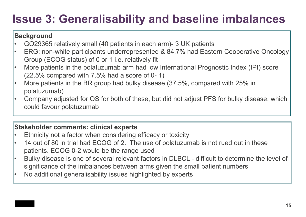### **Issue 3: Generalisability and baseline imbalances**

#### **Background**

- GO29365 relatively small (40 patients in each arm)- 3 UK patients
- ERG: non-white participants underrepresented & 84.7% had Eastern Cooperative Oncology Group (ECOG status) of 0 or 1 i.e. relatively fit
- More patients in the polatuzumab arm had low International Prognostic Index (IPI) score (22.5% compared with 7.5% had a score of 0- 1)
- More patients in the BR group had bulky disease (37.5%, compared with 25% in polatuzumab)
- Company adjusted for OS for both of these, but did not adjust PFS for bulky disease, which could favour polatuzumab

#### **Stakeholder comments: clinical experts**

- Ethnicity not a factor when considering efficacy or toxicity
- 14 out of 80 in trial had ECOG of 2. The use of polatuzumab is not rued out in these patients. ECOG 0-2 would be the range used
- Bulky disease is one of several relevant factors in DLBCL difficult to determine the level of significance of the imbalances between arms given the small patient numbers
- No additional generalisability issues highlighted by experts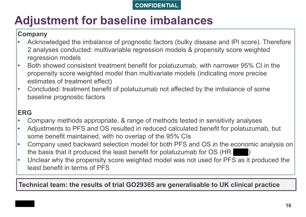### **Adjustment for baseline imbalances**

#### **Company**

- Acknowledged the imbalance of prognostic factors (bulky disease and IPI score). Therefore 2 analyses conducted: multivariable regression models & propensity score weighted regression models
- Both showed consistent treatment benefit for polatuzumab, with narrower 95% CI in the propensity score weighted model than multivariate models (indicating more precise estimates of treatment effect)
- Concluded: treatment benefit of polatuzumab not affected by the imbalance of some baseline prognostic factors

#### **ERG**

- Company methods appropriate, & range of methods tested in sensitivity analyses
- Adjustments to PFS and OS resulted in reduced calculated benefit for polatuzumab, but some benefit maintained, with no overlap of the 95% CIs
- Company used backward selection model for both PFS and OS in the economic analysis on the basis that it produced the least benefit for polatuzumab for  $OS$  (HR
- Unclear why the propensity score weighted model was not used for PFS as it produced the least benefit in terms of PFS

**Technical team: the results of trial GO29365 are generalisable to UK clinical practice**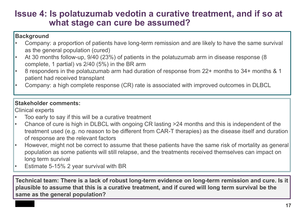### **Issue 4: Is polatuzumab vedotin a curative treatment, and if so at what stage can cure be assumed?**

#### **Background**

- Company: a proportion of patients have long-term remission and are likely to have the same survival as the general population (cured)
- At 30 months follow-up, 9/40 (23%) of patients in the polatuzumab arm in disease response (8 complete, 1 partial) vs 2/40 (5%) in the BR arm
- 8 responders in the polatuzumab arm had duration of response from 22+ months to 34+ months & 1 patient had received transplant
- Company: a high complete response (CR) rate is associated with improved outcomes in DLBCL

#### **Stakeholder comments:**

Clinical experts

- Too early to say if this will be a curative treatment
- Chance of cure is high in DLBCL with ongoing CR lasting >24 months and this is independent of the treatment used (e.g. no reason to be different from CAR-T therapies) as the disease itself and duration of response are the relevant factors
- However, might not be correct to assume that these patients have the same risk of mortality as general population as some patients will still relapse, and the treatments received themselves can impact on long term survival
- Estimate 5-15% 2 year survival with BR

**Technical team: There is a lack of robust long-term evidence on long-term remission and cure. Is it plausible to assume that this is a curative treatment, and if cured will long term survival be the same as the general population?**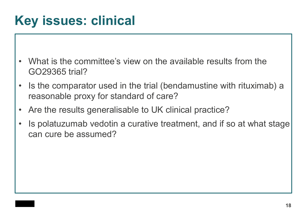# **Key issues: clinical**

- What is the committee's view on the available results from the GO29365 trial?
- Is the comparator used in the trial (bendamustine with rituximab) a reasonable proxy for standard of care?
- Are the results generalisable to UK clinical practice?
- Is polatuzumab vedotin a curative treatment, and if so at what stage can cure be assumed?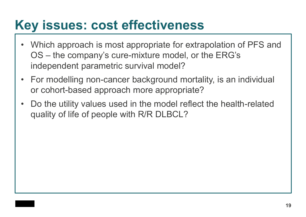### **Key issues: cost effectiveness**

- Which approach is most appropriate for extrapolation of PFS and OS – the company's cure-mixture model, or the ERG's independent parametric survival model?
- For modelling non-cancer background mortality, is an individual or cohort-based approach more appropriate?
- Do the utility values used in the model reflect the health-related quality of life of people with R/R DLBCL?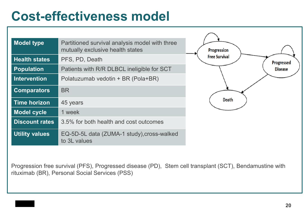## **Cost-effectiveness model**

| <b>Model type</b>     | Partitioned survival analysis model with three<br>mutually exclusive health states | <b>Progression</b>   |
|-----------------------|------------------------------------------------------------------------------------|----------------------|
| <b>Health states</b>  | PFS, PD, Death                                                                     | <b>Free Survival</b> |
| <b>Population</b>     | Patients with R/R DLBCL ineligible for SCT                                         |                      |
| <b>Intervention</b>   | Polatuzumab vedotin + BR (Pola+BR)                                                 |                      |
| <b>Comparators</b>    | <b>BR</b>                                                                          |                      |
| <b>Time horizon</b>   | 45 years                                                                           | Death                |
| <b>Model cycle</b>    | 1 week                                                                             |                      |
| <b>Discount rates</b> | 3.5% for both health and cost outcomes                                             |                      |
| <b>Utility values</b> | EQ-5D-5L data (ZUMA-1 study), cross-walked<br>to 3L values                         |                      |

Progression free survival (PFS), Progressed disease (PD), Stem cell transplant (SCT), Bendamustine with rituximab (BR), Personal Social Services (PSS)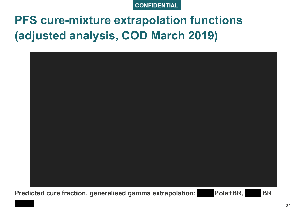

### **PFS cure-mixture extrapolation functions** (adjusted analysis, COD March 2019)

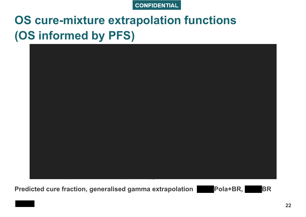

### **OS cure-mixture extrapolation functions** (OS informed by PFS)



Predicted cure fraction, generalised gamma extrapolation Pola+BR,

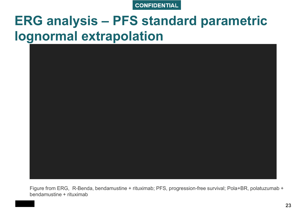### **ERG analysis – PFS standard parametric lognormal extrapolation**



Figure from ERG, R-Benda, bendamustine + rituximab; PFS, progression-free survival; Pola+BR, polatuzumab + bendamustine + rituximab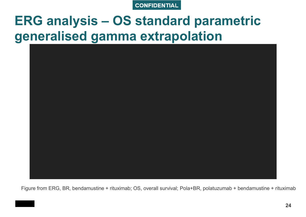## **ERG analysis – OS standard parametric generalised gamma extrapolation**



Figure from ERG, BR, bendamustine + rituximab; OS, overall survival; Pola+BR, polatuzumab + bendamustine + rituximab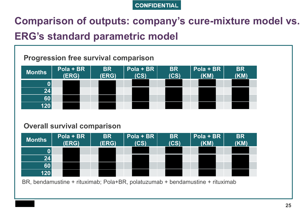### Comparison of outputs: company's cure-mixture model vs. **ERG's standard parametric model**

#### **Progression free survival comparison**

| <b>Months</b> | Pola + BR<br>(ERG) | <b>BR</b><br>(ERG) | Pola + BR<br>(CS) | <b>BR</b><br>(CS) | Pola + BR<br>(KM) | <b>BR</b><br>(KM) |
|---------------|--------------------|--------------------|-------------------|-------------------|-------------------|-------------------|
|               |                    |                    |                   |                   |                   |                   |
| 24            |                    |                    |                   |                   |                   |                   |
| 60            |                    |                    |                   |                   |                   |                   |
| 120           |                    |                    |                   |                   |                   |                   |

#### **Overall survival comparison**



BR, bendamustine + rituximab; Pola+BR, polatuzumab + bendamustine + rituximab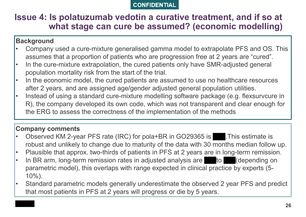#### **Issue 4: Is polatuzumab vedotin a curative treatment, and if so at what stage can cure be assumed? (economic modelling)**

#### **Background**

- Company used a cure-mixture generalised gamma model to extrapolate PFS and OS. This assumes that a proportion of patients who are progression free at 2 years are "cured".
- In the cure-mixture extrapolation, the cured patients only have SMR-adjusted general population mortality risk from the start of the trial.
- In the economic model, the cured patients are assumed to use no healthcare resources after 2 years, and are assigned age/gender adjusted general population utilities.
- Instead of using a standard cure-mixture modelling software package (e.g. flexsurvcure in R), the company developed its own code, which was not transparent and clear enough for the ERG to assess the correctness of the implementation of the methods

#### **Company comments**

- Observed KM 2-year PFS rate (IRC) for pola+BR in GO29365 is **\*\*\*.** This estimate is robust and unlikely to change due to maturity of the data with 30 months median follow up.
- Plausible that approx. two-thirds of patients in PFS at 2 years are in long-term remission.
- In BR arm, long-term remission rates in adjusted analysis are \*\*\* to \*\*\* (depending on parametric model), this overlaps with range expected in clinical practice by experts (5- 10%).
- Standard parametric models generally underestimate the observed 2 year PFS and predict that most patients in PFS at 2 years will progress or die by 5 years.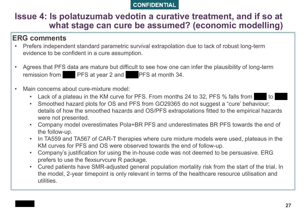#### **Issue 4: Is polatuzumab vedotin a curative treatment, and if so at what stage can cure be assumed? (economic modelling)**

#### **ERG comments**

- Prefers independent standard parametric survival extrapolation due to lack of robust long-term evidence to be confident in a cure assumption.
- Agrees that PFS data are mature but difficult to see how one can infer the plausibility of long-term remission from \*\*\*\* PFS at year 2 and \*\*\* PFS at month 34.
- Main concerns about cure-mixture model:
	- Lack of a plateau in the KM curve for PFS. From months 24 to 32, PFS % falls from to
	- Smoothed hazard plots for OS and PFS from GO29365 do not suggest a "cure' behaviour; details of how the smoothed hazards and OS/PFS extrapolations fitted to the empirical hazards were not presented.
	- Company model overestimates Pola+BR PFS and underestimates BR PFS towards the end of the follow-up.
	- In TA559 and TA567 of CAR-T therapies where cure mixture models were used, plateaus in the KM curves for PFS and OS were observed towards the end of follow-up.
	- Company's justification for using the in-house code was not deemed to be persuasive. ERG prefers to use the flexsurvcure R package.
	- Cured patients have SMR-adjusted general population mortality risk from the start of the trial. In the model, 2-year timepoint is only relevant in terms of the healthcare resource utilisation and utilities.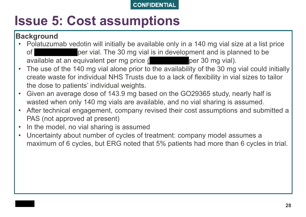# **Issue 5: Cost assumptions**

#### **Background**

- Polatuzumab vedotin will initially be available only in a 140 mg vial size at a list price of the oper vial. The 30 mg vial is in development and is planned to be available at an equivalent per mg price (\*\*\*\*\*\*\*\*\*\*\*\*\*\*\*\*\*\*\*\*\* per 30 mg vial).
- The use of the 140 mg vial alone prior to the availability of the 30 mg vial could initially create waste for individual NHS Trusts due to a lack of flexibility in vial sizes to tailor the dose to patients' individual weights.
- Given an average dose of 143.9 mg based on the GO29365 study, nearly half is wasted when only 140 mg vials are available, and no vial sharing is assumed.
- After technical engagement, company revised their cost assumptions and submitted a PAS (not approved at present)
- In the model, no vial sharing is assumed
- Uncertainty about number of cycles of treatment: company model assumes a maximum of 6 cycles, but ERG noted that 5% patients had more than 6 cycles in trial.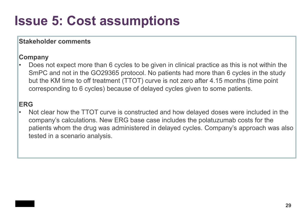# **Issue 5: Cost assumptions**

#### **Stakeholder comments**

#### **Company**

• Does not expect more than 6 cycles to be given in clinical practice as this is not within the SmPC and not in the GO29365 protocol. No patients had more than 6 cycles in the study but the KM time to off treatment (TTOT) curve is not zero after 4.15 months (time point corresponding to 6 cycles) because of delayed cycles given to some patients.

#### **ERG**

Not clear how the TTOT curve is constructed and how delayed doses were included in the company's calculations. New ERG base case includes the polatuzumab costs for the patients whom the drug was administered in delayed cycles. Company's approach was also tested in a scenario analysis.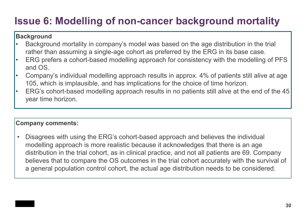### **Issue 6: Modelling of non-cancer background mortality**

#### **Background**

- Background mortality in company's model was based on the age distribution in the trial rather than assuming a single-age cohort as preferred by the ERG in its base case.
- ERG prefers a cohort-based modelling approach for consistency with the modelling of PFS and OS.
- Company's individual modelling approach results in approx. 4% of patients still alive at age 105, which is implausible, and has implications for the choice of time horizon.
- ERG's cohort-based modelling approach results in no patients still alive at the end of the 45 year time horizon.

#### **Company comments:**

• Disagrees with using the ERG's cohort-based approach and believes the individual modelling approach is more realistic because it acknowledges that there is an age distribution in the trial cohort, as in clinical practice, and not all patients are 69. Company believes that to compare the OS outcomes in the trial cohort accurately with the survival of a general population control cohort, the actual age distribution needs to be considered.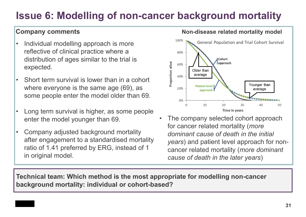### **Issue 6: Modelling of non-cancer background mortality**

- Individual modelling approach is more reflective of clinical practice where a distribution of ages similar to the trial is expected.
- Short term survival is lower than in a cohort where everyone is the same age (69), as some people enter the model older than 69.
- Long term survival is higher, as some people enter the model younger than 69.
- Company adjusted background mortality after engagement to a standardised mortality ratio of 1.41 preferred by ERG, instead of 1 in original model.



**Company comments** *Company comments Non-disease related mortality model* 

The company selected cohort approach for cancer related mortality (*more dominant cause of death in the initial years*) and patient level approach for noncancer related mortality (*more dominant cause of death in the later years*)

**Technical team: Which method is the most appropriate for modelling non-cancer background mortality: individual or cohort-based?**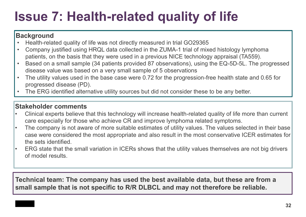# **Issue 7: Health-related quality of life**

#### **Background**

- Health-related quality of life was not directly measured in trial GO29365
- Company justified using HRQL data collected in the ZUMA-1 trial of mixed histology lymphoma patients, on the basis that they were used in a previous NICE technology appraisal (TA559).
- Based on a small sample (34 patients provided 87 observations), using the EQ-5D-5L. The progressed disease value was based on a very small sample of 5 observations
- The utility values used in the base case were 0.72 for the progression-free health state and 0.65 for progressed disease (PD).
- The ERG identified alternative utility sources but did not consider these to be any better.

#### **Stakeholder comments**

- Clinical experts believe that this technology will increase health-related quality of life more than current care especially for those who achieve CR and improve lymphoma related symptoms.
- The company is not aware of more suitable estimates of utility values. The values selected in their base case were considered the most appropriate and also result in the most conservative ICER estimates for the sets identified.
- ERG state that the small variation in ICERs shows that the utility values themselves are not big drivers of model results.

**Technical team: The company has used the best available data, but these are from a small sample that is not specific to R/R DLBCL and may not therefore be reliable.**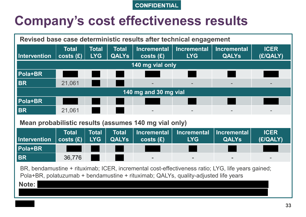### **Company's cost effectiveness results**

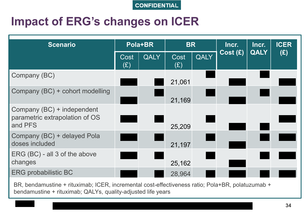### **Impact of ERG's changes on ICER**

| <b>Scenario</b>                                                         |             | Pola+BR | <b>BR</b>   |      | Incr.   | Incr.       | <b>ICER</b> |
|-------------------------------------------------------------------------|-------------|---------|-------------|------|---------|-------------|-------------|
|                                                                         | Cost<br>(E) | QALY    | Cost<br>(E) | QALY | Cost(E) | <b>QALY</b> | (E)         |
| Company (BC)                                                            |             |         | 21,061      |      |         |             |             |
| Company (BC) + cohort modelling                                         |             |         | 21,169      |      |         |             |             |
| Company (BC) + independent<br>parametric extrapolation of OS<br>and PFS |             |         | 25,209      |      |         |             |             |
| Company (BC) + delayed Pola<br>doses included                           |             |         | 21,197      |      |         |             |             |
| ERG (BC) - all 3 of the above<br>changes                                |             |         | 25,162      |      |         |             |             |
| <b>ERG probabilistic BC</b>                                             |             |         | 28,964      |      |         |             |             |

BR, bendamustine + rituximab; ICER, incremental cost-effectiveness ratio; Pola+BR, polatuzumab + bendamustine + rituximab; QALYs, quality-adjusted life years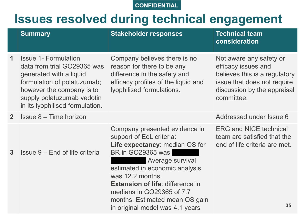### **Issues resolved during technical engagement**

|                | <b>Summary</b>                                                                                                                                                                                                     | <b>Stakeholder responses</b>                                                                                                                                                               | <b>Technical team</b><br>consideration                                                                                                                      |
|----------------|--------------------------------------------------------------------------------------------------------------------------------------------------------------------------------------------------------------------|--------------------------------------------------------------------------------------------------------------------------------------------------------------------------------------------|-------------------------------------------------------------------------------------------------------------------------------------------------------------|
| 1              | <b>Issue 1- Formulation</b><br>data from trial GO29365 was<br>generated with a liquid<br>formulation of polatuzumab;<br>however the company is to<br>supply polatuzumab vedotin<br>in its lyophilised formulation. | Company believes there is no<br>reason for there to be any<br>difference in the safety and<br>efficacy profiles of the liquid and<br>lyophilised formulations.                             | Not aware any safety or<br>efficacy issues and<br>believes this is a regulatory<br>issue that does not require<br>discussion by the appraisal<br>committee. |
| 2 <sup>1</sup> | <b>Issue 8 – Time horizon</b>                                                                                                                                                                                      |                                                                                                                                                                                            | Addressed under Issue 6                                                                                                                                     |
| 3              | Issue 9 – End of life criteria                                                                                                                                                                                     | Company presented evidence in<br>support of EoL criteria:<br>Life expectancy: median OS for<br>BR in GO29365 was<br>Average survival<br>estimated in economic analysis<br>was 12.2 months. | <b>ERG and NICE technical</b><br>team are satisfied that the<br>end of life criteria are met.                                                               |
|                |                                                                                                                                                                                                                    | <b>Extension of life: difference in</b><br>medians in GO29365 of 7.7<br>months. Estimated mean OS gain<br>in original model was 4.1 years                                                  | 35                                                                                                                                                          |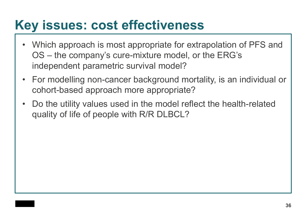### **Key issues: cost effectiveness**

- Which approach is most appropriate for extrapolation of PFS and OS – the company's cure-mixture model, or the ERG's independent parametric survival model?
- For modelling non-cancer background mortality, is an individual or cohort-based approach more appropriate?
- Do the utility values used in the model reflect the health-related quality of life of people with R/R DLBCL?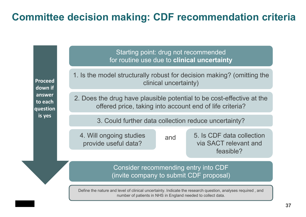### **Committee decision making: CDF recommendation criteria**

**Proceed down if answer to each question is yes**

for routine use due to **clinical uncertainty** 1. Is the model structurally robust for decision making? (omitting the

clinical uncertainty)

Starting point: drug not recommended

2. Does the drug have plausible potential to be cost-effective at the offered price, taking into account end of life criteria?

3. Could further data collection reduce uncertainty?

4. Will ongoing studies provide useful data?

and

5. Is CDF data collection via SACT relevant and feasible?

Consider recommending entry into CDF (invite company to submit CDF proposal)

Define the nature and level of clinical uncertainty. Indicate the research question, analyses required , and number of patients in NHS in England needed to collect data.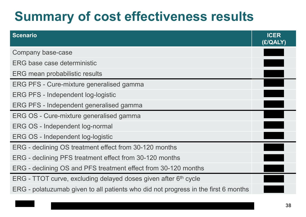# **Summary of cost effectiveness results**

| <b>Scenario</b>                                                                    | <b>ICER</b><br>(£/QALY) |
|------------------------------------------------------------------------------------|-------------------------|
| Company base-case                                                                  |                         |
| <b>ERG base case deterministic</b>                                                 |                         |
| ERG mean probabilistic results                                                     |                         |
| ERG PFS - Cure-mixture generalised gamma                                           |                         |
| <b>ERG PFS - Independent log-logistic</b>                                          |                         |
| ERG PFS - Independent generalised gamma                                            |                         |
| ERG OS - Cure-mixture generalised gamma                                            |                         |
| ERG OS - Independent log-normal                                                    |                         |
| ERG OS - Independent log-logistic                                                  |                         |
| ERG - declining OS treatment effect from 30-120 months                             |                         |
| ERG - declining PFS treatment effect from 30-120 months                            |                         |
| ERG - declining OS and PFS treatment effect from 30-120 months                     |                         |
| ERG - TTOT curve, excluding delayed doses given after 6 <sup>th</sup> cycle        |                         |
| ERG - polatuzumab given to all patients who did not progress in the first 6 months |                         |